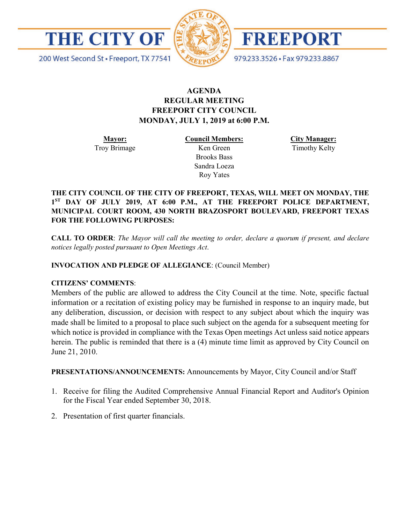



FREEPORT

979.233.3526 · Fax 979.233.8867

200 West Second St · Freeport, TX 77541

# **AGENDA REGULAR MEETING FREEPORT CITY COUNCIL MONDAY, JULY 1, 2019 at 6:00 P.M.**

**Mayor:** Troy Brimage **Council Members:** Ken Green

> Brooks Bass Sandra Loeza Roy Yates

**City Manager:**

Timothy Kelty

**THE CITY COUNCIL OF THE CITY OF FREEPORT, TEXAS, WILL MEET ON MONDAY, THE 1ST DAY OF JULY 2019, AT 6:00 P.M., AT THE FREEPORT POLICE DEPARTMENT, MUNICIPAL COURT ROOM, 430 NORTH BRAZOSPORT BOULEVARD, FREEPORT TEXAS FOR THE FOLLOWING PURPOSES:**

**CALL TO ORDER**: *The Mayor will call the meeting to order, declare a quorum if present, and declare notices legally posted pursuant to Open Meetings Act*.

**INVOCATION AND PLEDGE OF ALLEGIANCE**: (Council Member)

## **CITIZENS' COMMENTS**:

Members of the public are allowed to address the City Council at the time. Note, specific factual information or a recitation of existing policy may be furnished in response to an inquiry made, but any deliberation, discussion, or decision with respect to any subject about which the inquiry was made shall be limited to a proposal to place such subject on the agenda for a subsequent meeting for which notice is provided in compliance with the Texas Open meetings Act unless said notice appears herein. The public is reminded that there is a (4) minute time limit as approved by City Council on June 21, 2010.

**PRESENTATIONS/ANNOUNCEMENTS:** Announcements by Mayor, City Council and/or Staff

- 1. Receive for filing the Audited Comprehensive Annual Financial Report and Auditor's Opinion for the Fiscal Year ended September 30, 2018.
- 2. Presentation of first quarter financials.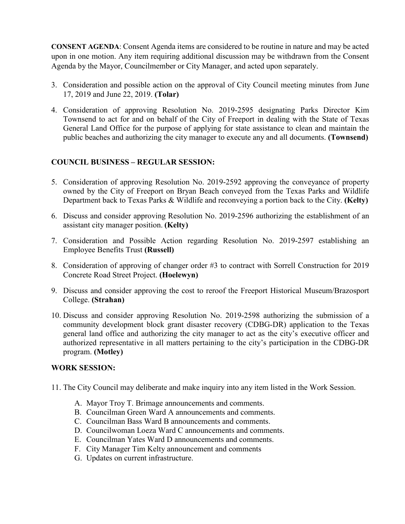**CONSENT AGENDA**: Consent Agenda items are considered to be routine in nature and may be acted upon in one motion. Any item requiring additional discussion may be withdrawn from the Consent Agenda by the Mayor, Councilmember or City Manager, and acted upon separately.

- 3. Consideration and possible action on the approval of City Council meeting minutes from June 17, 2019 and June 22, 2019. **(Tolar)**
- 4. Consideration of approving Resolution No. 2019-2595 designating Parks Director Kim Townsend to act for and on behalf of the City of Freeport in dealing with the State of Texas General Land Office for the purpose of applying for state assistance to clean and maintain the public beaches and authorizing the city manager to execute any and all documents. **(Townsend)**

## **COUNCIL BUSINESS – REGULAR SESSION:**

- 5. Consideration of approving Resolution No. 2019-2592 approving the conveyance of property owned by the City of Freeport on Bryan Beach conveyed from the Texas Parks and Wildlife Department back to Texas Parks & Wildlife and reconveying a portion back to the City. **(Kelty)**
- 6. Discuss and consider approving Resolution No. 2019-2596 authorizing the establishment of an assistant city manager position. **(Kelty)**
- 7. Consideration and Possible Action regarding Resolution No. 2019-2597 establishing an Employee Benefits Trust **(Russell)**
- 8. Consideration of approving of changer order #3 to contract with Sorrell Construction for 2019 Concrete Road Street Project. **(Hoelewyn)**
- 9. Discuss and consider approving the cost to reroof the Freeport Historical Museum/Brazosport College. **(Strahan)**
- 10. Discuss and consider approving Resolution No. 2019-2598 authorizing the submission of a community development block grant disaster recovery (CDBG-DR) application to the Texas general land office and authorizing the city manager to act as the city's executive officer and authorized representative in all matters pertaining to the city's participation in the CDBG-DR program. **(Motley)**

## **WORK SESSION:**

- 11. The City Council may deliberate and make inquiry into any item listed in the Work Session.
	- A. Mayor Troy T. Brimage announcements and comments.
	- B. Councilman Green Ward A announcements and comments.
	- C. Councilman Bass Ward B announcements and comments.
	- D. Councilwoman Loeza Ward C announcements and comments.
	- E. Councilman Yates Ward D announcements and comments.
	- F. City Manager Tim Kelty announcement and comments
	- G. Updates on current infrastructure.